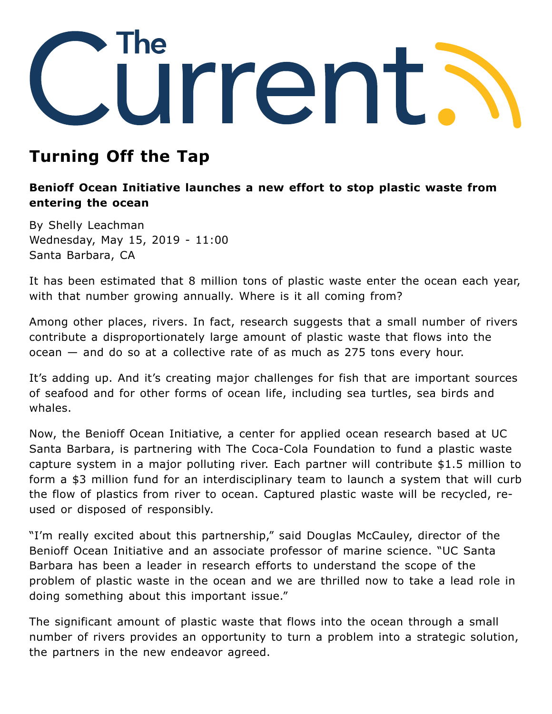

## **Turning Off the Tap**

## **Benioff Ocean Initiative launches a new effort to stop plastic waste from entering the ocean**

By Shelly Leachman Wednesday, May 15, 2019 - 11:00 Santa Barbara, CA

It has been [estimated](https://www.news.ucsb.edu/2015/014985/ocean-plastic) that 8 million tons of plastic waste enter the ocean each year, with that number growing annually. Where is it all coming from?

Among other places, rivers. In fact, research suggests that a small number of rivers contribute a disproportionately large amount of plastic waste that flows into the ocean — and do so at a collective rate of as much as 275 tons every hour.

It's adding up. And it's creating major challenges for fish that are important sources of seafood and for other forms of ocean life, including sea turtles, sea birds and whales.

Now, the [Benioff Ocean Initiative](https://boi.ucsb.edu/), a center for applied ocean research based at UC Santa Barbara, is partnering with The Coca-Cola Foundation to fund a plastic waste capture system in a major polluting river. Each partner will contribute \$1.5 million to form a \$3 million fund for an interdisciplinary team to launch a system that will curb the flow of plastics from river to ocean. Captured plastic waste will be recycled, reused or disposed of responsibly.

"I'm really excited about this partnership," said Douglas McCauley, director of the Benioff Ocean Initiative and an associate professor of marine science. "UC Santa Barbara has been a leader in research efforts to understand the scope of the problem of plastic waste in the ocean and we are thrilled now to take a lead role in doing something about this important issue."

The significant amount of plastic waste that flows into the ocean through a small number of rivers provides an opportunity to turn a problem into a strategic solution, the partners in the new endeavor agreed.